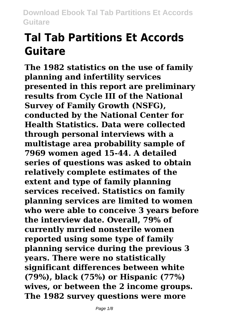# **Tal Tab Partitions Et Accords Guitare**

**The 1982 statistics on the use of family planning and infertility services presented in this report are preliminary results from Cycle III of the National Survey of Family Growth (NSFG), conducted by the National Center for Health Statistics. Data were collected through personal interviews with a multistage area probability sample of 7969 women aged 15-44. A detailed series of questions was asked to obtain relatively complete estimates of the extent and type of family planning services received. Statistics on family planning services are limited to women who were able to conceive 3 years before the interview date. Overall, 79% of currently mrried nonsterile women reported using some type of family planning service during the previous 3 years. There were no statistically significant differences between white (79%), black (75%) or Hispanic (77%) wives, or between the 2 income groups. The 1982 survey questions were more**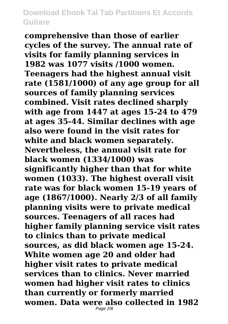**comprehensive than those of earlier cycles of the survey. The annual rate of visits for family planning services in 1982 was 1077 visits /1000 women. Teenagers had the highest annual visit rate (1581/1000) of any age group for all sources of family planning services combined. Visit rates declined sharply with age from 1447 at ages 15-24 to 479 at ages 35-44. Similar declines with age also were found in the visit rates for white and black women separately. Nevertheless, the annual visit rate for black women (1334/1000) was significantly higher than that for white women (1033). The highest overall visit rate was for black women 15-19 years of age (1867/1000). Nearly 2/3 of all family planning visits were to private medical sources. Teenagers of all races had higher family planning service visit rates to clinics than to private medical sources, as did black women age 15-24. White women age 20 and older had higher visit rates to private medical services than to clinics. Never married women had higher visit rates to clinics than currently or formerly married women. Data were also collected in 1982** Page  $2/8$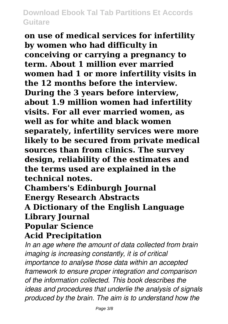**on use of medical services for infertility by women who had difficulty in conceiving or carrying a pregnancy to term. About 1 million ever married women had 1 or more infertility visits in the 12 months before the interview. During the 3 years before interview, about 1.9 million women had infertility visits. For all ever married women, as well as for white and black women separately, infertility services were more likely to be secured from private medical sources than from clinics. The survey design, reliability of the estimates and the terms used are explained in the technical notes.**

**Chambers's Edinburgh Journal Energy Research Abstracts A Dictionary of the English Language Library Journal Popular Science**

## **Acid Precipitation**

*In an age where the amount of data collected from brain imaging is increasing constantly, it is of critical importance to analyse those data within an accepted framework to ensure proper integration and comparison of the information collected. This book describes the ideas and procedures that underlie the analysis of signals produced by the brain. The aim is to understand how the*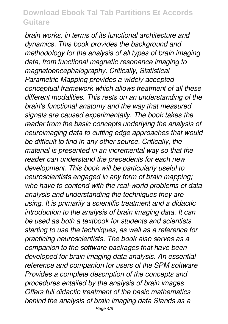*brain works, in terms of its functional architecture and dynamics. This book provides the background and methodology for the analysis of all types of brain imaging data, from functional magnetic resonance imaging to magnetoencephalography. Critically, Statistical Parametric Mapping provides a widely accepted conceptual framework which allows treatment of all these different modalities. This rests on an understanding of the brain's functional anatomy and the way that measured signals are caused experimentally. The book takes the reader from the basic concepts underlying the analysis of neuroimaging data to cutting edge approaches that would be difficult to find in any other source. Critically, the material is presented in an incremental way so that the reader can understand the precedents for each new development. This book will be particularly useful to neuroscientists engaged in any form of brain mapping; who have to contend with the real-world problems of data analysis and understanding the techniques they are using. It is primarily a scientific treatment and a didactic introduction to the analysis of brain imaging data. It can be used as both a textbook for students and scientists starting to use the techniques, as well as a reference for practicing neuroscientists. The book also serves as a companion to the software packages that have been developed for brain imaging data analysis. An essential reference and companion for users of the SPM software Provides a complete description of the concepts and procedures entailed by the analysis of brain images Offers full didactic treatment of the basic mathematics behind the analysis of brain imaging data Stands as a*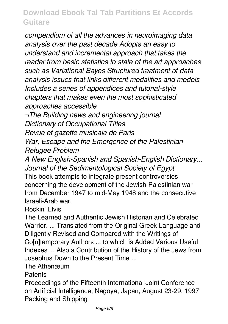*compendium of all the advances in neuroimaging data analysis over the past decade Adopts an easy to understand and incremental approach that takes the reader from basic statistics to state of the art approaches such as Variational Bayes Structured treatment of data analysis issues that links different modalities and models Includes a series of appendices and tutorial-style chapters that makes even the most sophisticated approaches accessible*

*¬The Building news and engineering journal Dictionary of Occupational Titles Revue et gazette musicale de Paris*

*War, Escape and the Emergence of the Palestinian Refugee Problem*

*A New English-Spanish and Spanish-English Dictionary... Journal of the Sedimentological Society of Egypt* This book attempts to integrate present controversies concerning the development of the Jewish-Palestinian war from December 1947 to mid-May 1948 and the consecutive Israeli-Arab war.

Rockin' Elvis

The Learned and Authentic Jewish Historian and Celebrated Warrior. ... Translated from the Original Greek Language and Diligently Revised and Compared with the Writings of Coinitemporary Authors ... to which is Added Various Useful Indexes ... Also a Contribution of the History of the Jews from Josephus Down to the Present Time ...

The Athenæum

**Patents** 

Proceedings of the Fifteenth International Joint Conference on Artificial Intelligence, Nagoya, Japan, August 23-29, 1997 Packing and Shipping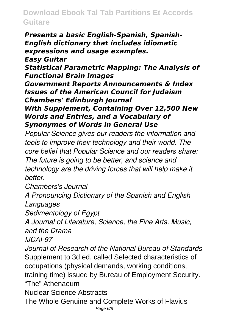*Presents a basic English-Spanish, Spanish-English dictionary that includes idiomatic expressions and usage examples. Easy Guitar Statistical Parametric Mapping: The Analysis of Functional Brain Images Government Reports Announcements & Index Issues of the American Council for Judaism Chambers' Edinburgh Journal With Supplement, Containing Over 12,500 New Words and Entries, and a Vocabulary of Synonymes of Words in General Use*

*Popular Science gives our readers the information and tools to improve their technology and their world. The core belief that Popular Science and our readers share: The future is going to be better, and science and technology are the driving forces that will help make it better.*

*Chambers's Journal*

*A Pronouncing Dictionary of the Spanish and English Languages*

*Sedimentology of Egypt*

*A Journal of Literature, Science, the Fine Arts, Music, and the Drama*

*IJCAI-97*

*Journal of Research of the National Bureau of Standards* Supplement to 3d ed. called Selected characteristics of occupations (physical demands, working conditions, training time) issued by Bureau of Employment Security. "The" Athenaeum Nuclear Science Abstracts

The Whole Genuine and Complete Works of Flavius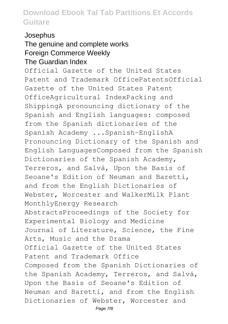#### Josephus

#### The genuine and complete works Foreign Commerce Weekly The Guardian Index

Official Gazette of the United States Patent and Trademark OfficePatentsOfficial Gazette of the United States Patent OfficeAgricultural IndexPacking and ShippingA pronouncing dictionary of the Spanish and English languages: composed from the Spanish dictionaries of the Spanish Academy ...Spanish-EnglishA Pronouncing Dictionary of the Spanish and English LanguagesComposed from the Spanish Dictionaries of the Spanish Academy, Terreros, and Salvá, Upon the Basis of Seoane's Edition of Neuman and Baretti, and from the English Dictionaries of Webster, Worcester and WalkerMilk Plant MonthlyEnergy Research AbstractsProceedings of the Society for Experimental Biology and Medicine Journal of Literature, Science, the Fine Arts, Music and the Drama Official Gazette of the United States Patent and Trademark Office Composed from the Spanish Dictionaries of the Spanish Academy, Terreros, and Salvá, Upon the Basis of Seoane's Edition of Neuman and Baretti, and from the English Dictionaries of Webster, Worcester and